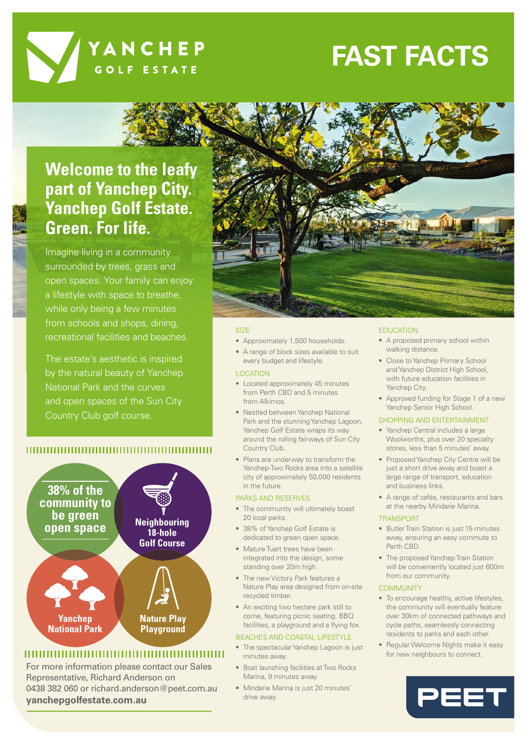

# **FAST FACTS**

## **Welcome to the leafy part of Yanchep City. Yanchep Golf Estate. Green. For life.**

Imagine living in a community surrounded by trees, grass and open spaces. Your family can enjoy a lifestyle with space to breathe, while only being a few minutes from schools and shops, dining, recreational facilities and beaches.

The estate's aesthetic is inspired by the natural beauty of Yanchep National Park and the curves and open spaces of the Sun City Country Club golf course.

### 



### 

For more information please contact our Sales Representative, Richard Anderson on 0438 382 060 or richard.anderson@peet.com.au **yanchepgolfestate.com.au**



#### SIZE

- Approximately 1,500 households.
- A range of block sizes available to suit every budget and lifestyle.

#### LOCATION

- Located approximately 45 minutes from Perth CBD and 5 minutes from Alkimos.
- Nestled between Yanchep National Park and the stunning Yanchep Lagoon, Yanchep Golf Estate wraps its way around the rolling fairways of Sun City Country Club.
- Plans are underway to transform the Yanchep-Two Rocks area into a satellite city of approximately 50,000 residents in the future.

#### PARKS AND RESERVES

- The community will ultimately boast 20 local parks.
- 38% of Yanchep Golf Estate is dedicated to green open space.
- Mature Tuart trees have been integrated into the design, some standing over 20m high.
- The new Victory Park features a Nature Play area designed from on-site recycled timber.
- An exciting two hectare park still to come, featuring picnic seating, BBQ facilities, a playground and a flying fox.

#### BEACHES AND COASTAL LIFESTYLE

- The spectacular Yanchep Lagoon is just minutes away.
- Boat launching facilities at Two Rocks Marina, 9 minutes away.
- Mindarie Marina is just 20 minutes' drive away.

#### **EDUCATION**

- A proposed primary school within walking distance.
- Close to Yanchep Primary School and Yanchep District High School, with future education facilities in Yanchep City.
- Approved funding for Stage 1 of a new Yanchep Senior High School.

#### SHOPPING AND ENTERTAINMENT

- Yanchep Central includes a large Woolworths, plus over 20 specialty stores, less than 5 minutes' away.
- Proposed Yanchep City Centre will be just a short drive away and boast a large range of transport, education and business links.
- A range of cafés, restaurants and bars at the nearby Mindarie Marina.

#### TRANSPORT

- Butler Train Station is just 15 minutes away, ensuring an easy commute to Perth CBD.
- The proposed Yanchep Train Station will be conveniently located just 600m from our community.

#### **COMMUNITY**

- To encourage healthy, active lifestyles, the community will eventually feature over 30km of connected pathways and cycle paths, seamlessly connecting residents to parks and each other.
- Regular Welcome Nights make it easy for new neighbours to connect.